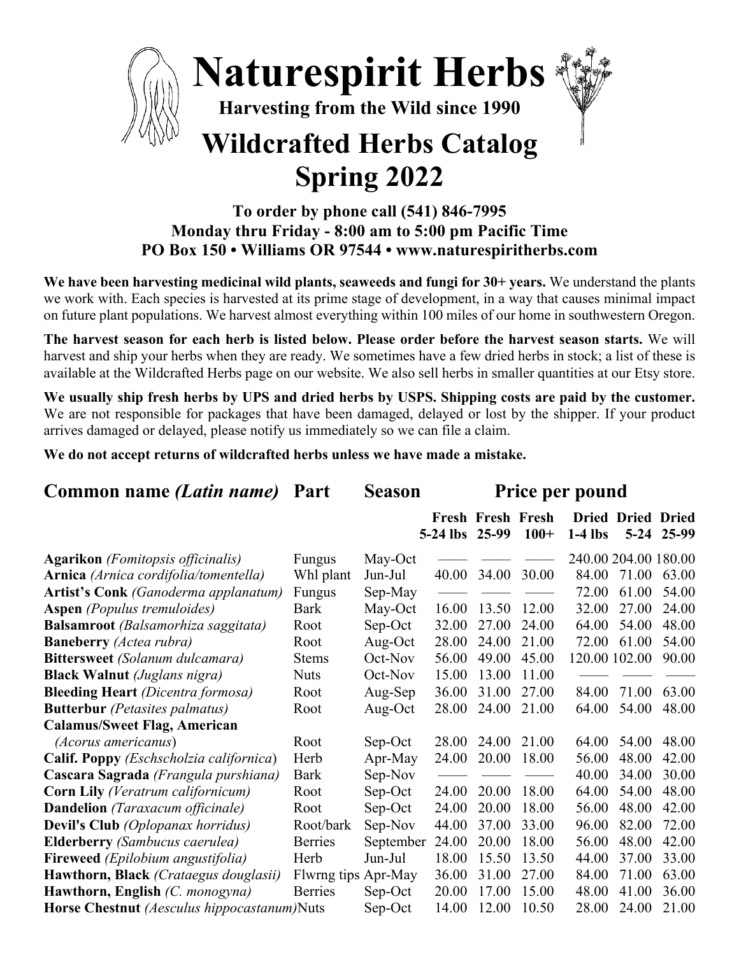

## **To order by phone call (541) 846-7995 Monday thru Friday - 8:00 am to 5:00 pm Pacific Time PO Box 150 • Williams OR 97544 • www.naturespiritherbs.com**

**We have been harvesting medicinal wild plants, seaweeds and fungi for 30+ years.** We understand the plants we work with. Each species is harvested at its prime stage of development, in a way that causes minimal impact on future plant populations. We harvest almost everything within 100 miles of our home in southwestern Oregon.

**The harvest season for each herb is listed below. Please order before the harvest season starts.** We will harvest and ship your herbs when they are ready. We sometimes have a few dried herbs in stock; a list of these is available at the Wildcrafted Herbs page on our website. We also sell herbs in smaller quantities at our Etsy store.

**We usually ship fresh herbs by UPS and dried herbs by USPS. Shipping costs are paid by the customer.**  We are not responsible for packages that have been damaged, delayed or lost by the shipper. If your product arrives damaged or delayed, please notify us immediately so we can file a claim.

**We do not accept returns of wildcrafted herbs unless we have made a mistake.** 

| Common name (Latin name)                    | Part                | <b>Season</b> | <b>Price per pound</b> |                                   |        |                      |                                      |       |
|---------------------------------------------|---------------------|---------------|------------------------|-----------------------------------|--------|----------------------|--------------------------------------|-------|
|                                             |                     |               | $5-24$ lbs             | <b>Fresh Fresh Fresh</b><br>25-99 | $100+$ | $1-4$ lbs            | <b>Dried Dried Dried</b><br>$5 - 24$ | 25-99 |
| <b>Agarikon</b> (Fomitopsis officinalis)    | Fungus              | May-Oct       |                        |                                   |        | 240.00 204.00 180.00 |                                      |       |
| Arnica (Arnica cordifolia/tomentella)       | Whl plant           | Jun-Jul       | 40.00                  | 34.00                             | 30.00  | 84.00                | 71.00                                | 63.00 |
| Artist's Conk (Ganoderma applanatum)        | Fungus              | Sep-May       |                        |                                   |        | 72.00                | 61.00                                | 54.00 |
| <b>Aspen</b> (Populus tremuloides)          | Bark                | May-Oct       | 16.00                  | 13.50                             | 12.00  | 32.00                | 27.00                                | 24.00 |
| <b>Balsamroot</b> (Balsamorhiza saggitata)  | Root                | Sep-Oct       | 32.00                  | 27.00                             | 24.00  | 64.00                | 54.00                                | 48.00 |
| <b>Baneberry</b> (Actea rubra)              | Root                | Aug-Oct       | 28.00                  | 24.00                             | 21.00  | 72.00                | 61.00                                | 54.00 |
| <b>Bittersweet</b> (Solanum dulcamara)      | <b>Stems</b>        | Oct-Nov       | 56.00                  | 49.00                             | 45.00  | 120.00 102.00        |                                      | 90.00 |
| <b>Black Walnut</b> (Juglans nigra)         | <b>Nuts</b>         | Oct-Nov       | 15.00                  | 13.00                             | 11.00  |                      |                                      |       |
| <b>Bleeding Heart</b> (Dicentra formosa)    | Root                | Aug-Sep       | 36.00                  | 31.00                             | 27.00  | 84.00                | 71.00                                | 63.00 |
| <b>Butterbur</b> (Petasites palmatus)       | Root                | Aug-Oct       | 28.00                  | 24.00                             | 21.00  | 64.00                | 54.00                                | 48.00 |
| <b>Calamus/Sweet Flag, American</b>         |                     |               |                        |                                   |        |                      |                                      |       |
| (Acorus americanus)                         | Root                | Sep-Oct       | 28.00                  | 24.00                             | 21.00  | 64.00                | 54.00                                | 48.00 |
| Calif. Poppy (Eschscholzia californica)     | Herb                | Apr-May       | 24.00                  | 20.00                             | 18.00  | 56.00                | 48.00                                | 42.00 |
| Cascara Sagrada (Frangula purshiana)        | <b>Bark</b>         | Sep-Nov       |                        |                                   |        | 40.00                | 34.00                                | 30.00 |
| <b>Corn Lily</b> (Veratrum californicum)    | Root                | Sep-Oct       | 24.00                  | 20.00                             | 18.00  | 64.00                | 54.00                                | 48.00 |
| <b>Dandelion</b> (Taraxacum officinale)     | Root                | Sep-Oct       | 24.00                  | 20.00                             | 18.00  | 56.00                | 48.00                                | 42.00 |
| <b>Devil's Club</b> (Oplopanax horridus)    | Root/bark           | Sep-Nov       | 44.00                  | 37.00                             | 33.00  | 96.00                | 82.00                                | 72.00 |
| <b>Elderberry</b> (Sambucus caerulea)       | <b>Berries</b>      | September     | 24.00                  | 20.00                             | 18.00  | 56.00                | 48.00                                | 42.00 |
| Fireweed (Epilobium angustifolia)           | Herb                | Jun-Jul       | 18.00                  | 15.50                             | 13.50  | 44.00                | 37.00                                | 33.00 |
| Hawthorn, Black (Crataegus douglasii)       | Flwrng tips Apr-May |               | 36.00                  | 31.00                             | 27.00  | 84.00                | 71.00                                | 63.00 |
| Hawthorn, English (C. monogyna)             | <b>Berries</b>      | Sep-Oct       | 20.00                  | 17.00                             | 15.00  | 48.00                | 41.00                                | 36.00 |
| Horse Chestnut (Aesculus hippocastanum)Nuts |                     | Sep-Oct       | 14.00                  | 12.00                             | 10.50  | 28.00                | 24.00                                | 21.00 |